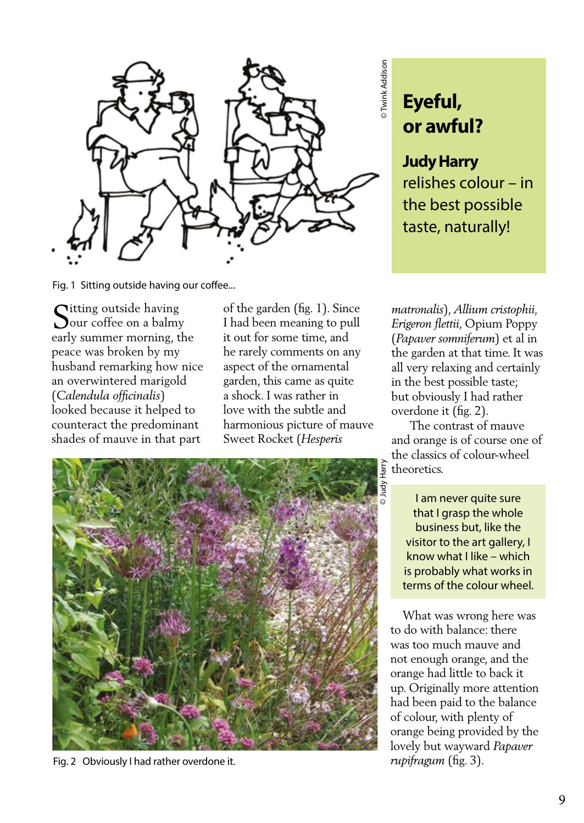

Fig. 1 Sitting outside having our coffee...

 $\bigcap$ itting outside having **O**our coffee on a balmy early summer morning, the peace was broken by my husband remarking how nice an overwintered marigold (*Calendula officinalis*) looked because it helped to counteract the predominant shades of mauve in that part

of the garden (fig. 1). Since I had been meaning to pull it out for some time, and he rarely comments on any aspect of the ornamental garden, this came as quite a shock. I was rather in love with the subtle and harmonious picture of mauve Sweet Rocket (*Hesperis* 



Fig. 2 Obviously I had rather overdone it.

## **Eyeful, or awful?**

## **Judy Harry**

relishes colour – in the best possible taste, naturally!

matronalis), Allium cristophii, *Erigeron flettii*, Opium Poppy (*Papaver somniferum*) et al in the garden at that time. It was all very relaxing and certainly in the best possible taste; but obviously I had rather overdone it (fig. 2).

 The contrast of mauve and orange is of course one of the classics of colour-wheel theoretics.

I am never quite sure that I grasp the whole business but, like the visitor to the art gallery, I know what I like – which is probably what works in terms of the colour wheel.

 What was wrong here was to do with balance: there was too much mauve and not enough orange, and the orange had little to back it up. Originally more attention had been paid to the balance of colour, with plenty of orange being provided by the lovely but wayward *Papaver rupifragum* (fig. 3).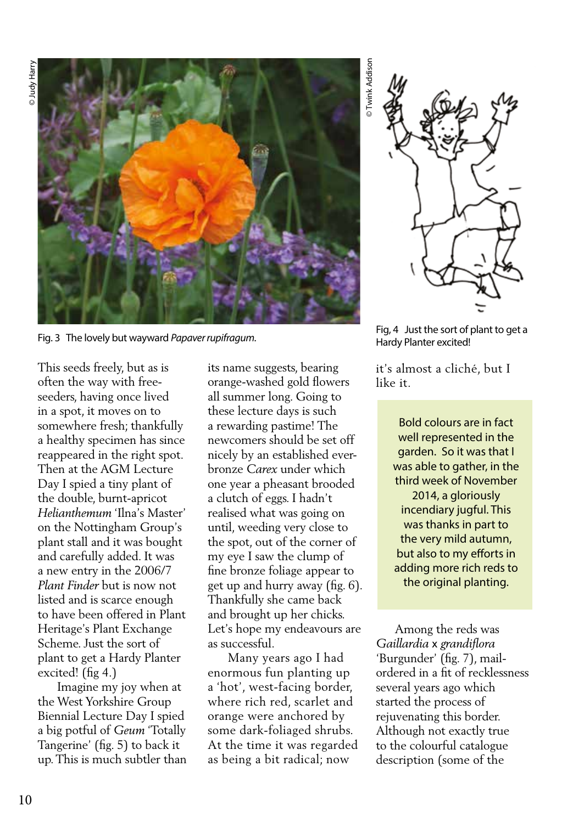

This seeds freely, but as is often the way with freeseeders, having once lived in a spot, it moves on to somewhere fresh; thankfully a healthy specimen has since reappeared in the right spot. Then at the AGM Lecture Day I spied a tiny plant of the double, burnt-apricot *Helianthemum* 'Ilna's Master' on the Nottingham Group's plant stall and it was bought and carefully added. It was a new entry in the 2006/7 *Plant Finder* but is now not listed and is scarce enough to have been offered in Plant Heritage's Plant Exchange Scheme. Just the sort of plant to get a Hardy Planter excited! (fig 4.)

 Imagine my joy when at the West Yorkshire Group Biennial Lecture Day I spied a big potful of *Geum* 'Totally Tangerine' (fig. 5) to back it up. This is much subtler than its name suggests, bearing orange-washed gold flowers all summer long. Going to these lecture days is such a rewarding pastime! The newcomers should be set off nicely by an established everbronze *Carex* under which one year a pheasant brooded a clutch of eggs. I hadn't realised what was going on until, weeding very close to the spot, out of the corner of my eye I saw the clump of fine bronze foliage appear to get up and hurry away (fig. 6). Thankfully she came back and brought up her chicks. Let's hope my endeavours are as successful.

 Many years ago I had enormous fun planting up a 'hot', west-facing border, where rich red, scarlet and orange were anchored by some dark-foliaged shrubs. At the time it was regarded as being a bit radical; now

Twink Addison © Twink Addison



Fig. 3 The lovely but wayward *Papaver rupifragum*.<br>Fig. 3 The lovely but wayward *Papaver rupifragum*. The sort of planter excited! Hardy Planter excited!

it's almost a cliché, but I like it.

> Bold colours are in fact well represented in the garden. So it was that I was able to gather, in the third week of November 2014, a gloriously incendiary jugful. This was thanks in part to the very mild autumn, but also to my efforts in adding more rich reds to the original planting.

 Among the reds was *Gaillardia* x *grandiflora*  'Burgunder' (fig. 7), mailordered in a fit of recklessness several years ago which started the process of rejuvenating this border. Although not exactly true to the colourful catalogue description (some of the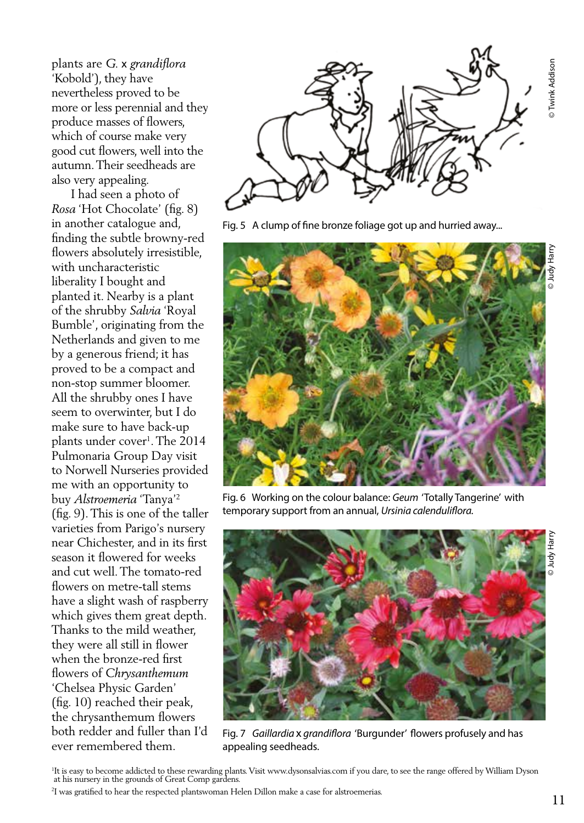plants are *G.* x *grandiflora* 'Kobold'), they have nevertheless proved to be more or less perennial and they produce masses of flowers, which of course make very good cut flowers, well into the autumn. Their seedheads are also very appealing.

 I had seen a photo of *Rosa* 'Hot Chocolate' (fig. 8) in another catalogue and, finding the subtle browny-red flowers absolutely irresistible, with uncharacteristic liberality I bought and planted it. Nearby is a plant of the shrubby *Salvia* 'Royal Bumble', originating from the Netherlands and given to me by a generous friend; it has proved to be a compact and non-stop summer bloomer. All the shrubby ones I have seem to overwinter, but I do make sure to have back-up plants under cover<sup>1</sup>. The 2014 Pulmonaria Group Day visit to Norwell Nurseries provided me with an opportunity to buy *Alstroemeria* 'Tanya'2 (fig. 9). This is one of the taller varieties from Parigo's nursery near Chichester, and in its first season it flowered for weeks and cut well. The tomato-red flowers on metre-tall stems have a slight wash of raspberry which gives them great depth. Thanks to the mild weather, they were all still in flower when the bronze-red first flowers of *Chrysanthemum*  'Chelsea Physic Garden' (fig. 10) reached their peak, the chrysanthemum flowers both redder and fuller than I'd ever remembered them.



Fig. 5 A clump of fine bronze foliage got up and hurried away...



Fig. 6 Working on the colour balance: *Geum* 'Totally Tangerine' with temporary support from an annual, *Ursinia calenduliflora.*



Judy Harr

<sup>1</sup> It is easy to become addicted to these rewarding plants. Visit www.dysonsalvias.com if you dare, to see the range offered by William Dyson at his nursery in the grounds of Great Comp gardens.

<sup>2</sup> I was gratified to hear the respected plantswoman Helen Dillon make a case for alstroemerias.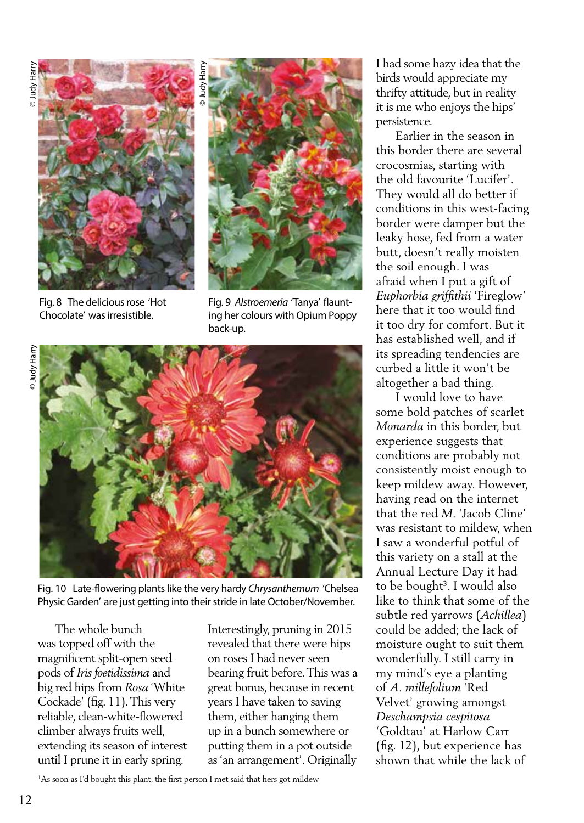

Fig. 8 The delicious rose 'Hot Chocolate' was irresistible.



Fig. 9 *Alstroemeria* 'Tanya' flaunting her colours with Opium Poppy back-up.





Fig. 10 Late-flowering plants like the very hardy *Chrysanthemum* 'Chelsea Physic Garden' are just getting into their stride in late October/November.

 The whole bunch was topped off with the magnificent split-open seed pods of *Iris foetidissima* and big red hips from *Rosa* 'White Cockade' (fig. 11). This very reliable, clean-white-flowered climber always fruits well, extending its season of interest until I prune it in early spring.

Interestingly, pruning in 2015 revealed that there were hips on roses I had never seen bearing fruit before. This was a great bonus, because in recent years I have taken to saving them, either hanging them up in a bunch somewhere or putting them in a pot outside as 'an arrangement'. Originally

I had some hazy idea that the birds would appreciate my thrifty attitude, but in reality it is me who enjoys the hips' persistence.

 Earlier in the season in this border there are several crocosmias, starting with the old favourite 'Lucifer'. They would all do better if conditions in this west-facing border were damper but the leaky hose, fed from a water butt, doesn't really moisten the soil enough. I was afraid when I put a gift of *Euphorbia griffithii* 'Fireglow' here that it too would find it too dry for comfort. But it has established well, and if its spreading tendencies are curbed a little it won't be altogether a bad thing.

 I would love to have some bold patches of scarlet *Monarda* in this border, but experience suggests that conditions are probably not consistently moist enough to keep mildew away. However, having read on the internet that the red *M.* 'Jacob Cline' was resistant to mildew, when I saw a wonderful potful of this variety on a stall at the Annual Lecture Day it had to be bought<sup>3</sup>. I would also like to think that some of the subtle red yarrows (*Achillea*) could be added; the lack of moisture ought to suit them wonderfully. I still carry in my mind's eye a planting of *A. millefolium* 'Red Velvet' growing amongst *Deschampsia cespitosa* 'Goldtau' at Harlow Carr (fig. 12), but experience has shown that while the lack of

1 As soon as I'd bought this plant, the first person I met said that hers got mildew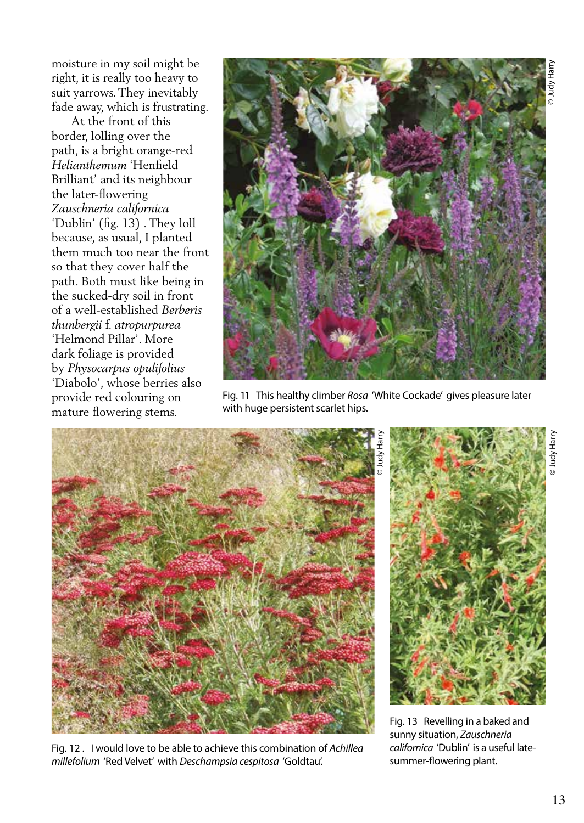moisture in my soil might be right, it is really too heavy to suit yarrows. They inevitably fade away, which is frustrating.

 At the front of this border, lolling over the path, is a bright orange-red *Helianthemum* 'Henfield Brilliant' and its neighbour the later-flowering *Zauschneria californica*  'Dublin' (fig. 13) . They loll because, as usual, I planted them much too near the front so that they cover half the path. Both must like being in the sucked-dry soil in front of a well-established *Berberis thunbergii* f. *atropurpurea*  'Helmond Pillar'. More dark foliage is provided by *Physocarpus opulifolius*  'Diabolo', whose berries also provide red colouring on mature flowering stems.



Fig. 11 This healthy climber *Rosa* 'White Cockade' gives pleasure later with huge persistent scarlet hips.



Fig. 12 . I would love to be able to achieve this combination of *Achillea millefolium* 'Red Velvet' with *Deschampsia cespitosa* 'Goldtau'.

© Judy HarryuneH Ypnr

Fig. 13 Revelling in a baked and sunny situation, *Zauschneria californica* 'Dublin' is a useful latesummer-flowering plant.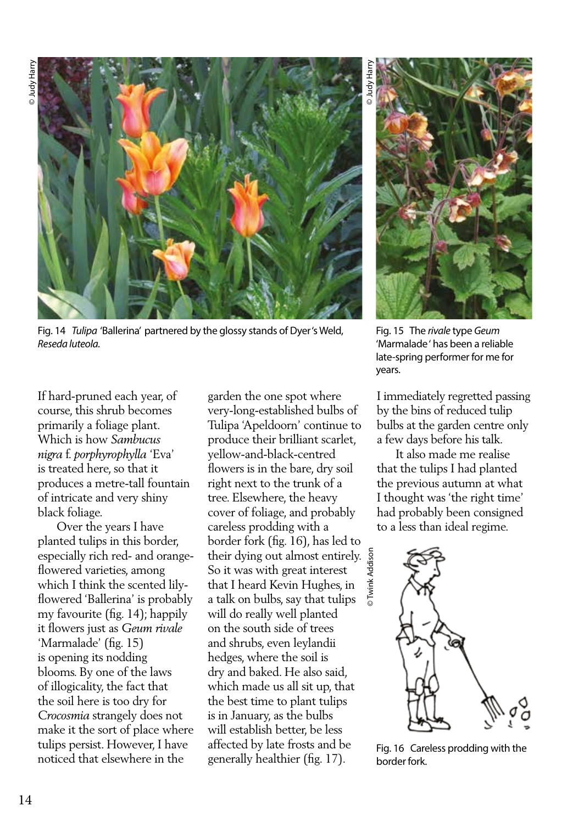

Fig. 14 *Tulipa* 'Ballerina' partnered by the glossy stands of Dyer 's Weld, *Reseda luteola.* 

If hard-pruned each year, of course, this shrub becomes primarily a foliage plant. Which is how *Sambucus nigra* f. *porphyrophylla* 'Eva' is treated here, so that it produces a metre-tall fountain of intricate and very shiny black foliage.

 Over the years I have planted tulips in this border, especially rich red- and orangeflowered varieties, among which I think the scented lilyflowered 'Ballerina' is probably my favourite (fig. 14); happily it flowers just as *Geum rivale*  'Marmalade' (fig. 15) is opening its nodding blooms. By one of the laws of illogicality, the fact that the soil here is too dry for *Crocosmia* strangely does not make it the sort of place where tulips persist. However, I have noticed that elsewhere in the

garden the one spot where very-long-established bulbs of Tulipa 'Apeldoorn' continue to produce their brilliant scarlet, yellow-and-black-centred flowers is in the bare, dry soil right next to the trunk of a tree. Elsewhere, the heavy cover of foliage, and probably careless prodding with a border fork (fig. 16), has led to their dying out almost entirely. So it was with great interest that I heard Kevin Hughes, in a talk on bulbs, say that tulips will do really well planted on the south side of trees and shrubs, even leylandii hedges, where the soil is dry and baked. He also said, which made us all sit up, that the best time to plant tulips is in January, as the bulbs will establish better, be less affected by late frosts and be generally healthier (fig. 17).

© Twink Addison

© Judy Harry



Fig. 15 The *rivale* type *Geum*  'Marmalade ' has been a reliable late-spring performer for me for years.

I immediately regretted passing by the bins of reduced tulip bulbs at the garden centre only a few days before his talk.

 It also made me realise that the tulips I had planted the previous autumn at what I thought was 'the right time' had probably been consigned to a less than ideal regime.



Fig. 16 Careless prodding with the border fork.